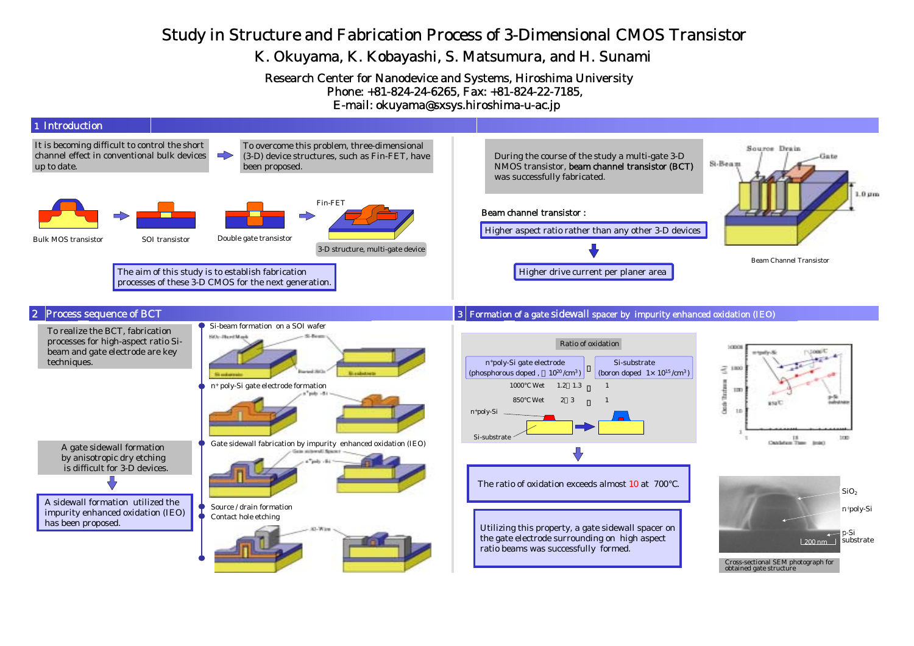## Study in Structure and Fabrication Process of 3-Dimensional CMOS Transistor

## K. Okuyama, K. Kobayashi, S. Matsumura, and H. Sunami

Research Center for Nanodevice and Systems, Hiroshima University Phone: +81-824-24-6265, Fax: +81-824-22-7185, E-mail: okuyama@sxsys.hiroshima-u-ac.jp